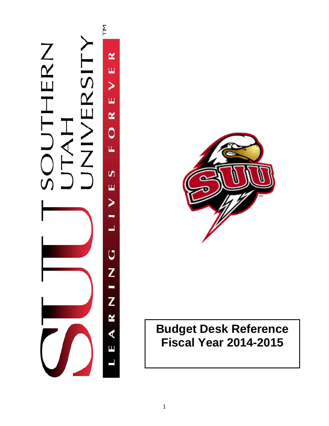



# **Budget Desk Reference Fiscal Year 2014-2015**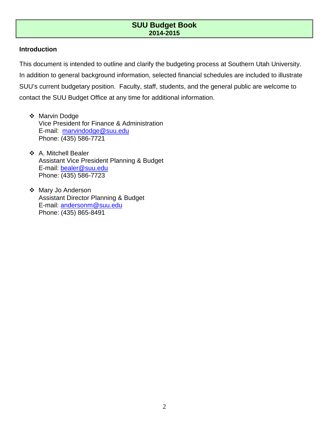### **Introduction**

This document is intended to outline and clarify the budgeting process at Southern Utah University. In addition to general background information, selected financial schedules are included to illustrate SUU's current budgetary position. Faculty, staff, students, and the general public are welcome to contact the SUU Budget Office at any time for additional information.

- Marvin Dodge Vice President for Finance & Administration E-mail: [marvindodge@suu.edu](mailto:marvindodge@suu.edu) Phone: (435) 586-7721
- A. Mitchell Bealer Assistant Vice President Planning & Budget E-mail: [bealer@suu.edu](mailto:bealer@suu.edu) Phone: (435) 586-7723
- Mary Jo Anderson Assistant Director Planning & Budget E-mail: [andersonm@suu.edu](mailto:andersonm@suu.edu) Phone: (435) 865-8491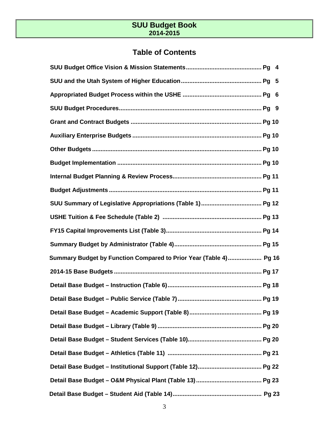# **Table of Contents**

| Summary Budget by Function Compared to Prior Year (Table 4) Pg 16 |  |
|-------------------------------------------------------------------|--|
|                                                                   |  |
|                                                                   |  |
|                                                                   |  |
|                                                                   |  |
|                                                                   |  |
|                                                                   |  |
|                                                                   |  |
|                                                                   |  |
|                                                                   |  |
|                                                                   |  |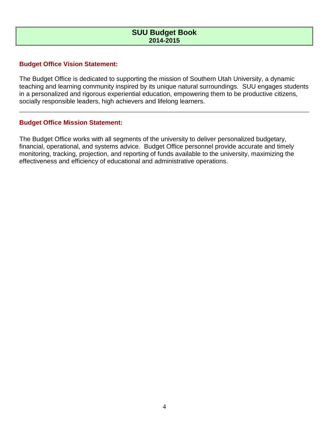# **Budget Office Vision Statement:**

The Budget Office is dedicated to supporting the mission of Southern Utah University, a dynamic teaching and learning community inspired by its unique natural surroundings. SUU engages students in a personalized and rigorous experiential education, empowering them to be productive citizens, socially responsible leaders, high achievers and lifelong learners.

### **Budget Office Mission Statement:**

The Budget Office works with all segments of the university to deliver personalized budgetary, financial, operational, and systems advice. Budget Office personnel provide accurate and timely monitoring, tracking, projection, and reporting of funds available to the university, maximizing the effectiveness and efficiency of educational and administrative operations.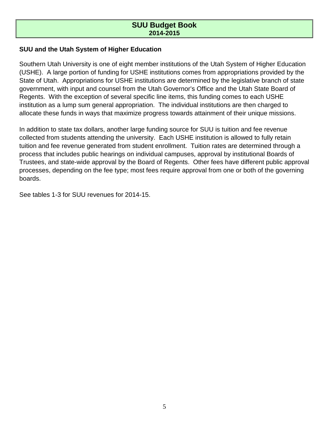# **SUU and the Utah System of Higher Education**

Southern Utah University is one of eight member institutions of the Utah System of Higher Education (USHE). A large portion of funding for USHE institutions comes from appropriations provided by the State of Utah. Appropriations for USHE institutions are determined by the legislative branch of state government, with input and counsel from the Utah Governor's Office and the Utah State Board of Regents. With the exception of several specific line items, this funding comes to each USHE institution as a lump sum general appropriation. The individual institutions are then charged to allocate these funds in ways that maximize progress towards attainment of their unique missions.

In addition to state tax dollars, another large funding source for SUU is tuition and fee revenue collected from students attending the university. Each USHE institution is allowed to fully retain tuition and fee revenue generated from student enrollment. Tuition rates are determined through a process that includes public hearings on individual campuses, approval by institutional Boards of Trustees, and state-wide approval by the Board of Regents. Other fees have different public approval processes, depending on the fee type; most fees require approval from one or both of the governing boards.

See tables 1-3 for SUU revenues for 2014-15.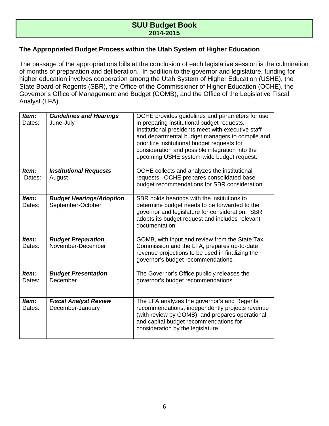### **The Appropriated Budget Process within the Utah System of Higher Education**

The passage of the appropriations bills at the conclusion of each legislative session is the culmination of months of preparation and deliberation. In addition to the governor and legislature, funding for higher education involves cooperation among the Utah System of Higher Education (USHE), the State Board of Regents (SBR), the Office of the Commissioner of Higher Education (OCHE), the Governor's Office of Management and Budget (GOMB), and the Office of the Legislative Fiscal Analyst (LFA).

| Item:<br>Dates: | <b>Guidelines and Hearings</b><br>June-July          | OCHE provides guidelines and parameters for use<br>in preparing institutional budget requests.<br>Institutional presidents meet with executive staff<br>and departmental budget managers to compile and<br>prioritize institutional budget requests for<br>consideration and possible integration into the<br>upcoming USHE system-wide budget request. |
|-----------------|------------------------------------------------------|---------------------------------------------------------------------------------------------------------------------------------------------------------------------------------------------------------------------------------------------------------------------------------------------------------------------------------------------------------|
| Item:<br>Dates: | <b>Institutional Requests</b><br>August              | OCHE collects and analyzes the institutional<br>requests. OCHE prepares consolidated base<br>budget recommendations for SBR consideration.                                                                                                                                                                                                              |
| Item:<br>Dates: | <b>Budget Hearings/Adoption</b><br>September-October | SBR holds hearings with the institutions to<br>determine budget needs to be forwarded to the<br>governor and legislature for consideration. SBR<br>adopts its budget request and includes relevant<br>documentation.                                                                                                                                    |
| Item:<br>Dates: | <b>Budget Preparation</b><br>November-December       | GOMB, with input and review from the State Tax<br>Commission and the LFA, prepares up-to-date<br>revenue projections to be used in finalizing the<br>governor's budget recommendations.                                                                                                                                                                 |
| Item:<br>Dates: | <b>Budget Presentation</b><br>December               | The Governor's Office publicly releases the<br>governor's budget recommendations.                                                                                                                                                                                                                                                                       |
| Item:<br>Dates: | <b>Fiscal Analyst Review</b><br>December-January     | The LFA analyzes the governor's and Regents'<br>recommendations, independently projects revenue<br>(with review by GOMB), and prepares operational<br>and capital budget recommendations for<br>consideration by the legislature.                                                                                                                       |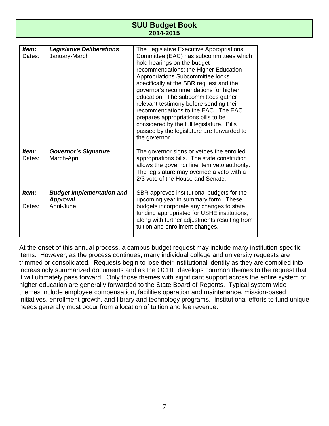| ltem:<br>Dates: | <b>Legislative Deliberations</b><br>January-March                 | The Legislative Executive Appropriations<br>Committee (EAC) has subcommittees which<br>hold hearings on the budget<br>recommendations; the Higher Education<br>Appropriations Subcommittee looks<br>specifically at the SBR request and the<br>governor's recommendations for higher<br>education. The subcommittees gather<br>relevant testimony before sending their<br>recommendations to the EAC. The EAC<br>prepares appropriations bills to be<br>considered by the full legislature. Bills<br>passed by the legislature are forwarded to<br>the governor. |
|-----------------|-------------------------------------------------------------------|------------------------------------------------------------------------------------------------------------------------------------------------------------------------------------------------------------------------------------------------------------------------------------------------------------------------------------------------------------------------------------------------------------------------------------------------------------------------------------------------------------------------------------------------------------------|
| Item:<br>Dates: | <b>Governor's Signature</b><br>March-April                        | The governor signs or vetoes the enrolled<br>appropriations bills. The state constitution<br>allows the governor line item veto authority.<br>The legislature may override a veto with a<br>2/3 vote of the House and Senate.                                                                                                                                                                                                                                                                                                                                    |
| ltem:<br>Dates: | <b>Budget Implementation and</b><br><b>Approval</b><br>April-June | SBR approves institutional budgets for the<br>upcoming year in summary form. These<br>budgets incorporate any changes to state<br>funding appropriated for USHE institutions,<br>along with further adjustments resulting from<br>tuition and enrollment changes.                                                                                                                                                                                                                                                                                                |

At the onset of this annual process, a campus budget request may include many institution-specific items. However, as the process continues, many individual college and university requests are trimmed or consolidated. Requests begin to lose their institutional identity as they are compiled into increasingly summarized documents and as the OCHE develops common themes to the request that it will ultimately pass forward. Only those themes with significant support across the entire system of higher education are generally forwarded to the State Board of Regents. Typical system-wide themes include employee compensation, facilities operation and maintenance, mission-based initiatives, enrollment growth, and library and technology programs. Institutional efforts to fund unique needs generally must occur from allocation of tuition and fee revenue.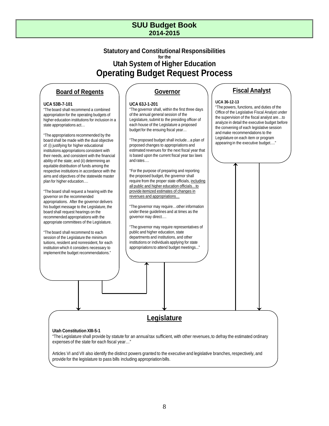# **Statutory and Constitutional Responsibilities for the Utah System of Higher Education Operating Budget Request Process**

# **Board of Regents**

#### **UCA 53B-7-101**

"The board shall recommend a combined appropriation for the operating budgets of higher education institutions for inclusion in a state appropriations act…

"The appropriations recommended by the board shall be made with the dual objective of: (i) justifying for higher educational institutions appropriations consistent with their needs, and consistent with the financial ability of the state; and (ii) determining an equitable distribution of funds among the respective institutions in accordance with the aims and objectives of the statewide master plan for higher education.…

"The board shall request a hearing with the governor on the recommended appropriations. After the governor delivers his budget message to the Legislature, the board shall request hearings on the recommended appropriations with the appropriate committees of the Legislature.

"The board shall recommend to each session of the Legislature the minimum tuitions, resident and nonresident, for each institution which it considers necessary to implement the budget recommendations."

### **Governor**

#### **UCA 63J-1-201**

"The governor shall, within the first three days of the annual general session of the Legislature, submit to the presiding officer of each house of the Legislature a proposed budget for the ensuing fiscal year…

"The proposed budget shall include…a plan of proposed changes to appropriations and estimated revenues for the next fiscal year that is based upon the current fiscal year tax laws and rates….

"For the purpose of preparing and reporting the proposed budget, the governor shall require from the proper state officials, including all public and higher education officials…to provide itemized estimates of changes in revenues and appropriations…

"The governor may require…other information under these guidelines and at times as the governor may direct….

"The governor may require representatives of public and higher education, state departments and institutions, and other institutions or individuals applying for state appropriations to attend budget meetings..."

# **Fiscal Analyst**

#### **UCA 36-12-13**

"The powers, functions, and duties of the Office of the Legislative Fiscal Analyst under the supervision of the fiscal analyst are…to analyze in detail the executive budget before the convening of each legislative session and make recommendations to the Legislature on each item or program appearing in the executive budget…."

# **Legislature**

#### **Utah Constitution XIII-5-1**

"The Legislature shall provide by statute for an annual tax sufficient, with other revenues, to defray the estimated ordinary expenses of the state for each fiscal year…"

Articles VI and VII also identify the distinct powers granted to the executive and legislative branches, respectively, and provide for the legislature to pass bills including appropriation bills.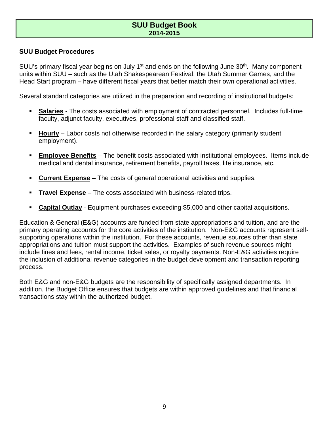# **SUU Budget Procedures**

SUU's primary fiscal year begins on July 1<sup>st</sup> and ends on the following June 30<sup>th</sup>. Many component units within SUU – such as the Utah Shakespearean Festival, the Utah Summer Games, and the Head Start program – have different fiscal years that better match their own operational activities.

Several standard categories are utilized in the preparation and recording of institutional budgets:

- **Salaries** The costs associated with employment of contracted personnel. Includes full-time faculty, adjunct faculty, executives, professional staff and classified staff.
- **Hourly** Labor costs not otherwise recorded in the salary category (primarily student employment).
- **Employee Benefits** The benefit costs associated with institutional employees. Items include medical and dental insurance, retirement benefits, payroll taxes, life insurance, etc.
- **Current Expense** The costs of general operational activities and supplies.
- **Travel Expense** The costs associated with business-related trips.
- **Capital Outlay** Equipment purchases exceeding \$5,000 and other capital acquisitions.

Education & General (E&G) accounts are funded from state appropriations and tuition, and are the primary operating accounts for the core activities of the institution. Non-E&G accounts represent selfsupporting operations within the institution. For these accounts, revenue sources other than state appropriations and tuition must support the activities. Examples of such revenue sources might include fines and fees, rental income, ticket sales, or royalty payments. Non-E&G activities require the inclusion of additional revenue categories in the budget development and transaction reporting process.

Both E&G and non-E&G budgets are the responsibility of specifically assigned departments. In addition, the Budget Office ensures that budgets are within approved guidelines and that financial transactions stay within the authorized budget.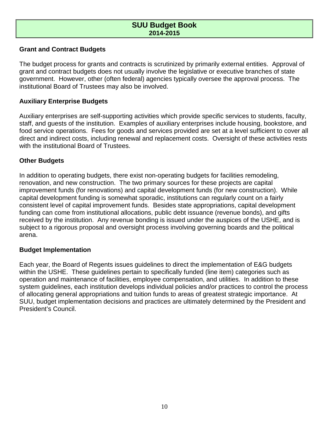### **Grant and Contract Budgets**

The budget process for grants and contracts is scrutinized by primarily external entities. Approval of grant and contract budgets does not usually involve the legislative or executive branches of state government. However, other (often federal) agencies typically oversee the approval process. The institutional Board of Trustees may also be involved.

# **Auxiliary Enterprise Budgets**

Auxiliary enterprises are self-supporting activities which provide specific services to students, faculty, staff, and guests of the institution. Examples of auxiliary enterprises include housing, bookstore, and food service operations. Fees for goods and services provided are set at a level sufficient to cover all direct and indirect costs, including renewal and replacement costs. Oversight of these activities rests with the institutional Board of Trustees.

# **Other Budgets**

In addition to operating budgets, there exist non-operating budgets for facilities remodeling, renovation, and new construction. The two primary sources for these projects are capital improvement funds (for renovations) and capital development funds (for new construction). While capital development funding is somewhat sporadic, institutions can regularly count on a fairly consistent level of capital improvement funds. Besides state appropriations, capital development funding can come from institutional allocations, public debt issuance (revenue bonds), and gifts received by the institution. Any revenue bonding is issued under the auspices of the USHE, and is subject to a rigorous proposal and oversight process involving governing boards and the political arena.

### **Budget Implementation**

Each year, the Board of Regents issues guidelines to direct the implementation of E&G budgets within the USHE. These guidelines pertain to specifically funded (line item) categories such as operation and maintenance of facilities, employee compensation, and utilities. In addition to these system guidelines, each institution develops individual policies and/or practices to control the process of allocating general appropriations and tuition funds to areas of greatest strategic importance. At SUU, budget implementation decisions and practices are ultimately determined by the President and President's Council.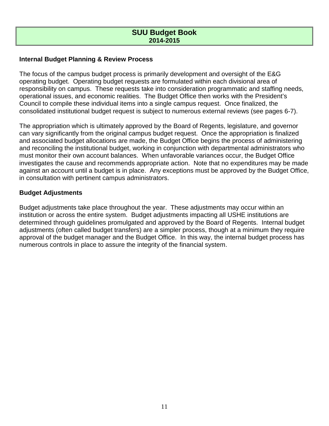# **Internal Budget Planning & Review Process**

The focus of the campus budget process is primarily development and oversight of the E&G operating budget. Operating budget requests are formulated within each divisional area of responsibility on campus. These requests take into consideration programmatic and staffing needs, operational issues, and economic realities. The Budget Office then works with the President's Council to compile these individual items into a single campus request. Once finalized, the consolidated institutional budget request is subject to numerous external reviews (see pages 6-7).

The appropriation which is ultimately approved by the Board of Regents, legislature, and governor can vary significantly from the original campus budget request. Once the appropriation is finalized and associated budget allocations are made, the Budget Office begins the process of administering and reconciling the institutional budget, working in conjunction with departmental administrators who must monitor their own account balances. When unfavorable variances occur, the Budget Office investigates the cause and recommends appropriate action. Note that no expenditures may be made against an account until a budget is in place. Any exceptions must be approved by the Budget Office, in consultation with pertinent campus administrators.

### **Budget Adjustments**

Budget adjustments take place throughout the year. These adjustments may occur within an institution or across the entire system. Budget adjustments impacting all USHE institutions are determined through guidelines promulgated and approved by the Board of Regents. Internal budget adjustments (often called budget transfers) are a simpler process, though at a minimum they require approval of the budget manager and the Budget Office. In this way, the internal budget process has numerous controls in place to assure the integrity of the financial system.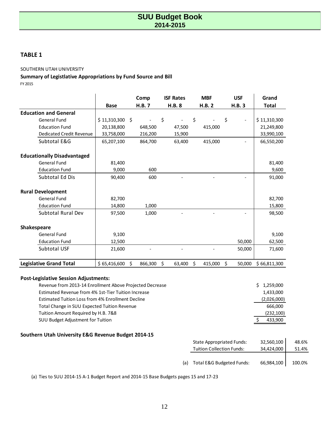### **TABLE 1**

#### SOUTHERN UTAH UNIVERSITY

### **Summary of Legistlative Appropriations by Fund Source and Bill**

FY 2015

|                                    |                  | Comp          | <b>ISF Rates</b> | <b>MBF</b>    | <b>USF</b>                     | Grand        |
|------------------------------------|------------------|---------------|------------------|---------------|--------------------------------|--------------|
|                                    | <b>Base</b>      | H.B.7         | <b>H.B. 8</b>    | H.B. 2        | <b>H.B.3</b>                   | <b>Total</b> |
| <b>Education and General</b>       |                  |               |                  |               |                                |              |
| General Fund                       | $$11,310,300$ \$ |               | \$               | \$            | \$<br>$\overline{\phantom{a}}$ | \$11,310,300 |
| <b>Education Fund</b>              | 20,138,800       | 648,500       | 47,500           | 415,000       |                                | 21,249,800   |
| <b>Dedicated Credit Revenue</b>    | 33,758,000       | 216,200       | 15,900           |               |                                | 33,990,100   |
| Subtotal E&G                       | 65,207,100       | 864,700       | 63,400           | 415,000       |                                | 66,550,200   |
| <b>Educationally Disadvantaged</b> |                  |               |                  |               |                                |              |
| <b>General Fund</b>                | 81,400           |               |                  |               |                                | 81,400       |
| <b>Education Fund</b>              | 9,000            | 600           |                  |               |                                | 9,600        |
| Subtotal Ed Dis                    | 90,400           | 600           |                  |               |                                | 91,000       |
| <b>Rural Development</b>           |                  |               |                  |               |                                |              |
| <b>General Fund</b>                | 82,700           |               |                  |               |                                | 82,700       |
| <b>Education Fund</b>              | 14,800           | 1,000         |                  |               |                                | 15,800       |
| Subtotal Rural Dev                 | 97,500           | 1,000         |                  |               |                                | 98,500       |
| Shakespeare                        |                  |               |                  |               |                                |              |
| <b>General Fund</b>                | 9,100            |               |                  |               |                                | 9,100        |
| <b>Education Fund</b>              | 12,500           |               |                  |               | 50,000                         | 62,500       |
| Subtotal USF                       | 21,600           |               |                  |               | 50,000                         | 71,600       |
| <b>Legislative Grand Total</b>     | \$65,416,600     | Ś.<br>866,300 | \$<br>63,400     | \$<br>415,000 | Ś.<br>50.000                   | \$66,811,300 |

### **Post-Legislative Session Adjustments:**

| Revenue from 2013-14 Enrollment Above Projected Decrease | \$1,259,000 |
|----------------------------------------------------------|-------------|
| Estimated Revenue from 4% 1st-Tier Tuition Increase      | 1,433,000   |
| Estimated Tuition Loss from 4% Enrollment Decline        | (2,026,000) |
| Total Change in SUU Expected Tuition Revenue             | 666.000     |
| Tuition Amount Required by H.B. 7&8                      | (232, 100)  |
| SUU Budget Adjustment for Tuition                        | 433.900     |

### **Southern Utah University E&G Revenue Budget 2014-15**

|  | <b>State Appropriated Funds:</b> | 32,560,100 | 48.6%  |
|--|----------------------------------|------------|--------|
|  | <b>Tuition Collection Funds:</b> | 34.424.000 | 51.4%  |
|  |                                  |            |        |
|  | (a) Total E&G Budgeted Funds:    | 66,984,100 | 100.0% |
|  |                                  |            |        |

(a) Ties to SUU 2014-15 A-1 Budget Report and 2014-15 Base Budgets pages 15 and 17-23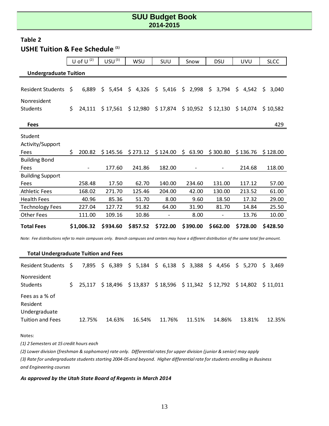# **Table 2 USHE Tuition & Fee Schedule (1)**

|                              |    | U of U $(2)$ | USU <sup>(3)</sup> | <b>WSU</b>  | <b>SUU</b>  | Snow        | <b>DSU</b>  | <b>UVU</b>  | <b>SLCC</b> |  |
|------------------------------|----|--------------|--------------------|-------------|-------------|-------------|-------------|-------------|-------------|--|
| <b>Undergraduate Tuition</b> |    |              |                    |             |             |             |             |             |             |  |
|                              |    |              |                    |             |             |             |             |             |             |  |
| <b>Resident Students</b>     | \$ | 6,889        | \$<br>5,454        | \$<br>4,326 | \$<br>5,416 | \$<br>2,998 | \$<br>3,794 | \$<br>4,542 | \$<br>3,040 |  |
| Nonresident                  |    |              |                    |             |             |             |             |             |             |  |
| <b>Students</b>              | \$ | 24,111       | \$17,561           | \$12,980    | \$17,874    | \$10,952    | \$12,130    | \$14,074    | \$10,582    |  |
|                              |    |              |                    |             |             |             |             |             |             |  |
| <b>Fees</b>                  |    |              |                    |             |             |             |             |             | 429         |  |
| Student                      |    |              |                    |             |             |             |             |             |             |  |
| Activity/Support             |    |              |                    |             |             |             |             |             |             |  |
| Fees                         | \$ | 200.82       | \$145.56           | \$273.12    | \$124.00    | \$<br>63.90 | \$300.80    | \$136.76    | \$128.00    |  |
| <b>Building Bond</b>         |    |              |                    |             |             |             |             |             |             |  |
| Fees                         |    |              | 177.60             | 241.86      | 182.00      |             |             | 214.68      | 118.00      |  |
| <b>Building Support</b>      |    |              |                    |             |             |             |             |             |             |  |
| Fees                         |    | 258.48       | 17.50              | 62.70       | 140.00      | 234.60      | 131.00      | 117.12      | 57.00       |  |
| <b>Athletic Fees</b>         |    | 168.02       | 271.70             | 125.46      | 204.00      | 42.00       | 130.00      | 213.52      | 61.00       |  |
| <b>Health Fees</b>           |    | 40.96        | 85.36              | 51.70       | 8.00        | 9.60        | 18.50       | 17.32       | 29.00       |  |
| <b>Technology Fees</b>       |    | 227.04       | 127.72             | 91.82       | 64.00       | 31.90       | 81.70       | 14.84       | 25.50       |  |
| <b>Other Fees</b>            |    | 111.00       | 109.16             | 10.86       |             | 8.00        |             | 13.76       | 10.00       |  |
| <b>Total Fees</b>            |    | \$1,006.32   | \$934.60           | \$857.52    | \$722.00    | \$390.00    | \$662.00    | \$728.00    | \$428.50    |  |

*Note: Fee distributions refer to main campuses only. Branch campuses and centers may have a different distribution of the same total fee amount.*

### **Total Undergraduate Tuition and Fees**

| Resident Students \$                                                   |    |        |        |        |        | 7,895 \$ 6,389 \$ 5,184 \$ 6,138 \$ 3,388 \$ 4,456 \$ 5,270 \$ 3,469  |        |        |        |
|------------------------------------------------------------------------|----|--------|--------|--------|--------|-----------------------------------------------------------------------|--------|--------|--------|
| <b>Nonresident</b><br><b>Students</b>                                  | S. |        |        |        |        | 25,117 \$18,496 \$13,837 \$18,596 \$11,342 \$12,792 \$14,802 \$11,011 |        |        |        |
| Fees as a % of<br>Resident<br>Undergraduate<br><b>Tuition and Fees</b> |    | 12.75% | 14.63% | 16.54% | 11.76% | 11.51%                                                                | 14.86% | 13.81% | 12.35% |

Notes:

*(1) 2 Semesters at 15 credit hours each*

*(2) Lower division (freshman & sophomore) rate only. Differential rates for upper division (junior & senior) may apply*

*(3) Rate for undergraduate students starting 2004-05 and beyond. Higher differential rate for students enrolling in Business and Engineering courses*

### *As approved by the Utah State Board of Regents in March 2014*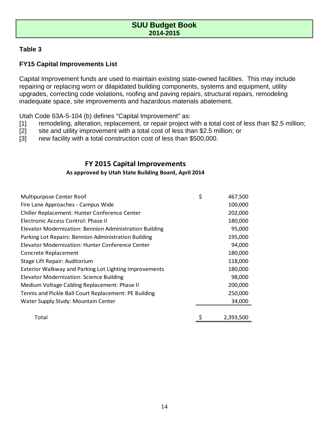### **Table 3**

# **FY15 Capital Improvements List**

Capital Improvement funds are used to maintain existing state-owned facilities. This may include repairing or replacing worn or dilapidated building components, systems and equipment, utility upgrades, correcting code violations, roofing and paving repairs, structural repairs, remodeling inadequate space, site improvements and hazardous materials abatement.

Utah Code 63A-5-104 (b) defines "Capital Improvement" as:

- [1] remodeling, alteration, replacement, or repair project with a total cost of less than \$2.5 million;
- [2] site and utility improvement with a total cost of less than \$2.5 million; or
- [3] new facility with a total construction cost of less than \$500,000.

# **FY 2015 Capital Improvements**

### **As approved by Utah State Building Board, April 2014**

| Multipurpose Center Roof                                | \$<br>467,500   |
|---------------------------------------------------------|-----------------|
| Fire Lane Approaches - Campus Wide                      | 100,000         |
| Chiller Replacement: Hunter Conference Center           | 202,000         |
| Electronic Access Control: Phase II                     | 180,000         |
| Elevator Modernization: Bennion Administration Building | 95,000          |
| Parking Lot Repairs: Bennion Administration Building    | 195,000         |
| Elevator Modernization: Hunter Conference Center        | 94,000          |
| Concrete Replacement                                    | 180,000         |
| Stage Lift Repair: Auditorium                           | 118,000         |
| Exterior Walkway and Parking Lot Lighting Improvements  | 180,000         |
| <b>Elevator Modernization: Science Building</b>         | 98,000          |
| Medium Voltage Cabling Replacement: Phase II            | 200,000         |
| Tennis and Pickle Ball Court Replacement: PE Building   | 250,000         |
| Water Supply Study: Mountain Center                     | 34,000          |
|                                                         |                 |
| Total                                                   | \$<br>2,393,500 |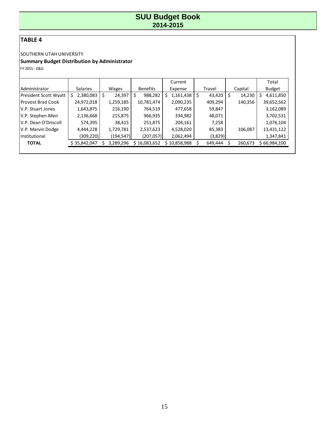# **TABLE 4**

### SOUTHERN UTAH UNIVERSITY

# **Summary Budget Distribution by Administrator**

FY 2015 - E&G

|                       |                 |              |                 | Current         |             |         | Total           |
|-----------------------|-----------------|--------------|-----------------|-----------------|-------------|---------|-----------------|
| Administrator         | <b>Salaries</b> | Wages        | <b>Benefits</b> | Expense         | Travel      | Capital | <b>Budget</b>   |
| President Scott Wyatt | 2,380,083       | 24,397<br>\$ | 988,282         | 1,161,438<br>\$ | 43,420<br>S | 14,230  | \$<br>4,611,850 |
| Provost Brad Cook     | 24,972,018      | 1,259,185    | 10,781,474      | 2,090,235       | 409,294     | 140,356 | 39,652,562      |
| IV.P. Stuart Jones    | 1,643,875       | 216,190      | 764,519         | 477,658         | 59,847      |         | 3,162,089       |
| V.P. Stephen Allen    | 2,136,668       | 215,875      | 966,935         | 334,982         | 48,071      |         | 3,702,531       |
| V.P. Dean O'Driscoll  | 574,395         | 38,415       | 251,875         | 204,161         | 7,258       |         | 1,076,104       |
| V.P. Marvin Dodge     | 4,444,228       | 1,729,781    | 2,537,623       | 4,528,020       | 85,383      | 106,087 | 13,431,122      |
| Institutional         | (309,220)       | (194, 547)   | (207, 057)      | 2,062,494       | (3,829)     |         | 1,347,841       |
| <b>TOTAL</b>          | \$35,842,047    | 3,289,296    | \$16,083,652    | \$10,858,988    | 649,444     | 260,673 | \$66,984,100    |
|                       |                 |              |                 |                 |             |         |                 |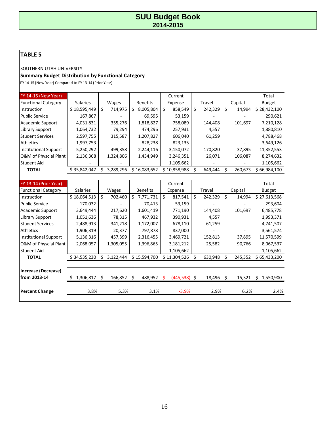# **TABLE 5**

SOUTHERN UTAH UNIVERSITY

### **Summary Budget Distribution by Functional Category**

FY 14-15 (New Year) Compared to FY 13-14 (Prior Year)

| <b>FY 14-15 (New Year)</b> |                 |               |                  | Current       |               |              | Total         |
|----------------------------|-----------------|---------------|------------------|---------------|---------------|--------------|---------------|
| <b>Functional Category</b> | <b>Salaries</b> | <b>Wages</b>  | <b>Benefits</b>  | Expense       | Travel        | Capital      | <b>Budget</b> |
| Instruction                | \$18,595,449    | 714,975<br>\$ | \$.<br>8,005,804 | \$<br>858,549 | \$<br>242,329 | \$<br>14,994 | \$28,432,100  |
| <b>Public Service</b>      | 167,867         |               | 69,595           | 53,159        |               |              | 290,621       |
| Academic Support           | 4,031,831       | 355,276       | 1,818,827        | 758,089       | 144,408       | 101,697      | 7,210,128     |
| Library Support            | 1,064,732       | 79,294        | 474,296          | 257,931       | 4,557         |              | 1,880,810     |
| <b>Student Services</b>    | 2,597,755       | 315,587       | 1,207,827        | 606,040       | 61,259        |              | 4,788,468     |
| Athletics                  | 1,997,753       |               | 828,238          | 823,135       |               |              | 3,649,126     |
| Institutional Support      | 5,250,292       | 499,358       | 2,244,116        | 3,150,072     | 170,820       | 37,895       | 11,352,553    |
| O&M of Physcial Plant      | 2,136,368       | 1,324,806     | 1,434,949        | 3,246,351     | 26,071        | 106,087      | 8,274,632     |
| Student Aid                |                 |               |                  | 1,105,662     |               |              | 1,105,662     |
| <b>TOTAL</b>               | \$35,842,047    | 3,289,296     | \$16,083,652     | \$10,858,988  | 649,444       | 260,673<br>Ś | \$66,984,100  |
|                            |                 |               |                  |               |               |              |               |

| FY 13-14 (Prior Year)        |                 |                 |                           | Current             |               |              | Total          |
|------------------------------|-----------------|-----------------|---------------------------|---------------------|---------------|--------------|----------------|
| <b>Functional Category</b>   | <b>Salaries</b> | Wages           | <b>Benefits</b>           | Expense             | Travel        | Capital      | <b>Budget</b>  |
| Instruction                  | \$18,064,513    | \$<br>702,460   | Ś.<br>7,771,731           | Ŝ.<br>817,541       | \$<br>242,329 | \$<br>14,994 | \$27,613,568   |
| <b>Public Service</b>        | 170,032         |                 | 70,413                    | 53,159              |               |              | 293,604        |
| Academic Support             | 3,649,444       | 217,620         | 1,601,419                 | 771,190             | 144,408       | 101,697      | 6,485,778      |
| Library Support              | 1,051,636       | 78,315          | 467,932                   | 390,931             | 4,557         |              | 1,993,371      |
| <b>Student Services</b>      | 2,488,913       | 341,218         | 1,172,007                 | 678,110             | 61,259        |              | 4,741,507      |
| <b>Athletics</b>             | 1,906,319       | 20,377          | 797,878                   | 837,000             |               |              | 3,561,574      |
| <b>Institutional Support</b> | 5,136,316       | 457,399         | 2,316,455                 | 3,469,721           | 152,813       | 37,895       | 11,570,599     |
| O&M of Physcial Plant        | 2,068,057       | 1,305,055       | 1,396,865                 | 3,181,212           | 25,582        | 90,766       | 8,067,537      |
| Student Aid                  |                 |                 |                           | 1,105,662           |               |              | 1,105,662      |
| <b>TOTAL</b>                 | \$34,535,230    | Ś.<br>3,122,444 | \$15,594,700              | \$11,304,526        | 630,948<br>S  | 245,352<br>S | \$65,433,200   |
|                              |                 |                 |                           |                     |               |              |                |
| Increase (Decrease)          |                 |                 |                           |                     |               |              |                |
| from 2013-14                 | 1,306,817       | 166,852<br>Ś    | 488,952<br>$\ddot{\zeta}$ | $(445,538)$ \$<br>S | $18,496$ \$   | 15,321       | 1,550,900<br>S |
|                              |                 |                 |                           |                     |               |              |                |
| <b>Percent Change</b>        | 3.8%            | 5.3%            | 3.1%                      | $-3.9%$             | 2.9%          | 6.2%         | 2.4%           |
|                              |                 |                 |                           |                     |               |              |                |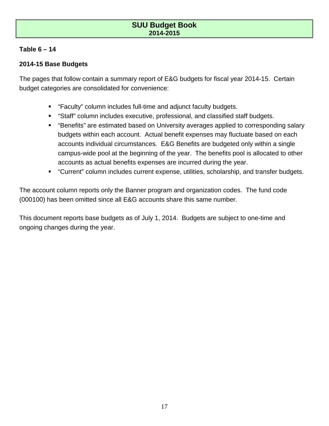# **Table 6 – 14**

# **2014-15 Base Budgets**

The pages that follow contain a summary report of E&G budgets for fiscal year 2014-15. Certain budget categories are consolidated for convenience:

- "Faculty" column includes full-time and adjunct faculty budgets.
- "Staff" column includes executive, professional, and classified staff budgets.
- "Benefits" are estimated based on University averages applied to corresponding salary budgets within each account. Actual benefit expenses may fluctuate based on each accounts individual circumstances. E&G Benefits are budgeted only within a single campus-wide pool at the beginning of the year. The benefits pool is allocated to other accounts as actual benefits expenses are incurred during the year.
- "Current" column includes current expense, utilities, scholarship, and transfer budgets.

The account column reports only the Banner program and organization codes. The fund code (000100) has been omitted since all E&G accounts share this same number.

This document reports base budgets as of July 1, 2014. Budgets are subject to one-time and ongoing changes during the year.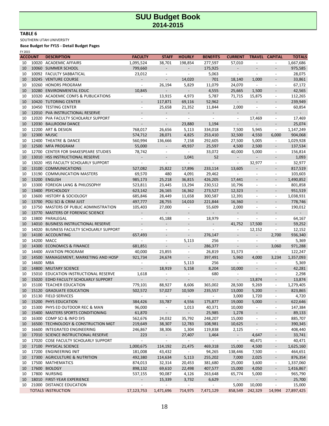#### **TABLE 6**

SOUTHERN UTAH UNIVERSITY

| FY 2015 |                |                                              |                          |                          |                             |                          |                          |                          |                              |               |
|---------|----------------|----------------------------------------------|--------------------------|--------------------------|-----------------------------|--------------------------|--------------------------|--------------------------|------------------------------|---------------|
|         | <b>ACCOUNT</b> | <b>DESCRIPTION</b>                           | <b>FACULTY</b>           | <b>STAFF</b>             | <b>HOURLY</b>               | <b>BENEFITS</b>          | <b>CURRENT</b>           |                          | <b>TRAVEL CAPITAL</b>        | <b>TOTALS</b> |
| 10      |                | 10020 ACADEMIC AFFAIRS                       | 1,095,524                | 38,701                   | 198,854                     | 277,597                  | 57,010                   |                          | $\overline{\phantom{a}}$     | 1,667,686     |
| 10      |                | 10060 SUMMER SCHOOL                          | 799,660                  | $\overline{a}$           | $\overline{\phantom{a}}$    | 175,925                  | $\overline{\phantom{a}}$ |                          |                              | 975,585       |
| 10      |                | 10092 FACULTY SABBATICAL                     | 23,012                   | $\overline{\phantom{m}}$ | $\overline{\phantom{a}}$    | 5,063                    | $\overline{\phantom{a}}$ |                          | $\overline{\phantom{a}}$     | 28,075        |
| 10      |                | 10245 VENTURE COURSE                         | $\overline{\phantom{a}}$ |                          | 14,020                      | 701                      | 18,140                   | 1,000                    | $\overline{\phantom{a}}$     | 33,861        |
| 10      |                | 10260 HONORS PROGRAM                         | $\overline{\phantom{a}}$ | 26,194                   | 5,829                       | 11,079                   | 24,070                   | $\overline{a}$           | $\overline{\phantom{a}}$     | 67,172        |
| 10      |                | 10280 ENVIRONMENTAL EDUC                     | 10,845                   | $\blacksquare$           | $\overline{\phantom{a}}$    | 4,555                    | 25,665                   | 1,500                    | $\overline{\phantom{a}}$     | 42,565        |
| 10      |                | 10320 ACADEMIC CONFS & PUBLICATIONS          | $\overline{\phantom{a}}$ | 13,915                   | 4,973                       | 5,787                    | 71,715                   | 15,875                   | $\overline{\phantom{a}}$     | 112,265       |
| 10      |                | 10420 TUTORING CENTER                        | $\qquad \qquad -$        | 117,871                  | 69,116                      | 52,962                   | $\blacksquare$           |                          | $\overline{a}$               | 239,949       |
| 10      |                | 10450 TESTING CENTER                         | $\overline{\phantom{a}}$ | 25,658                   | 21,352                      | 11,844                   | 2,000                    |                          | $\sim$                       | 60,854        |
| 10      | 12010          | PVA INSTRUCTIONAL RESERVE                    |                          |                          |                             |                          | $\overline{a}$           |                          |                              |               |
| 10      | 12020          | PVA FACULTY SCHOLARLY SUPPORT                | $\blacksquare$           | $\overline{\phantom{a}}$ | $\sim$                      | $\blacksquare$           | $\overline{\phantom{a}}$ | 17,469                   | $\overline{\phantom{a}}$     | 17,469        |
| 10      | 12030          | <b>BALLROOM DANCE</b>                        |                          |                          | 23,880                      | 1,194                    | $\overline{\phantom{a}}$ |                          |                              | 25,074        |
| 10      |                | 12200 ART & DESIGN                           | 768,017                  | 26,656                   | 5,113                       | 334,018                  | 7,500                    | 5,945                    | $\overline{\phantom{a}}$     | 1,147,249     |
| 10      |                | 12300 MUSIC                                  | 574,712                  | 28,071                   | 4,825                       | 253,410                  | 32,500                   | 4,550                    | 6,000                        | 904,068       |
| 10      |                | 12400 THEATRE & DANCE                        | 560,994                  | 136,666                  | 7,158                       | 292,605                  | 27,500                   | 5,005                    | $\overline{\phantom{a}}$     | 1,029,928     |
| 10      |                | 12500 MFA PROGRAM                            | 55,000                   | $\overline{a}$           | 49,937                      | 25,597                   | 4,500                    | 2,500                    | $\overline{\phantom{0}}$     | 137,534       |
| 10      |                | 12700 CENTER FOR SHAKESPEARE STUDIES         | 78,742                   | $\overline{\phantom{a}}$ | $\overline{\phantom{a}}$    | 33,072                   | 40,000                   | 5,000                    | $\overline{\phantom{a}}$     | 156,814       |
| 10      | 13010          | <b>HSS INSTRUCTIONAL RESERVE</b>             |                          |                          | 1,041                       | 52                       | $\overline{\phantom{a}}$ |                          |                              | 1,093         |
| 10      |                | 13020 HSS FACULTY SCHOLARLY SUPPORT          | $\overline{\phantom{a}}$ | $\overline{\phantom{a}}$ | $\blacksquare$              |                          | $\overline{\phantom{a}}$ | 32,977                   | $\overline{\phantom{a}}$     | 32,977        |
|         |                |                                              |                          |                          |                             |                          |                          |                          |                              |               |
| 10      |                | 13100 COMMUNICATIONS                         | 527,082                  | 25,822                   | 17,896                      | 233,114                  | 13,605                   |                          |                              | 817,519       |
| 10      |                | 13190 COMMUNICATION MASTERS                  | 69,570                   | 480                      | 4,091                       | 29,462                   | $\overline{\phantom{a}}$ | $\overline{\phantom{m}}$ | $\overline{\phantom{a}}$     | 103,603       |
| 10      |                | 13200 ENGLISH                                | 985,173                  | 25,218                   | 36,815                      | 426,205                  | 17,441                   |                          | $\overline{\phantom{a}}$     | 1,490,852     |
| 10      |                | 13300 FOREIGN LANG & PHILOSOPHY              | 523,811                  | 23,445                   | 13,294                      | 230,512                  | 10,796                   | $\overline{\phantom{a}}$ | $\overline{\phantom{a}}$     | 801,858       |
| 10      |                | 13400 PSYCHOLOGY                             | 623,142                  | 26,165                   | 16,362                      | 273,527                  | 12,323                   |                          | $\overline{\phantom{a}}$     | 951,519       |
| 10      | 13600          | <b>HISTORY &amp; SOCIOLOGY</b>               | 685,846                  | 28,449                   | 11,658                      | 300,587                  | 12,391                   | $\overline{a}$           | $\overline{\phantom{a}}$     | 1,038,931     |
| 10      | 13700          | POLI SCI & CRIM JUST                         | 497,777                  | 28,755                   | 14,010                      | 221,844                  | 16,360                   |                          | $\overline{\phantom{a}}$     | 778,746       |
| 10      | 13750          | MASTERS OF PUBLIC ADMINISTRATION             | 105,403                  | 27,000                   |                             | 55,609                   | 2,000                    | $\overline{\phantom{a}}$ | $\overline{\phantom{a}}$     | 190,012       |
| 10      | 13770          | <b>MASTERS OF FORENSIC SCIENCE</b>           |                          | $\blacksquare$           |                             | $\blacksquare$           | $\overline{\phantom{a}}$ |                          |                              |               |
| 10      | 13800          | PARALEGAL                                    | $\overline{\phantom{a}}$ | 45,188                   | $\overline{\phantom{a}}$    | 18,979                   | $\overline{\phantom{a}}$ | $\overline{a}$           | $\blacksquare$               | 64,167        |
| 10      | 14010          | <b>BUSINESS INSTRUCTIONAL RESERVE</b>        |                          | $\overline{a}$           |                             | $\overline{\phantom{a}}$ | 41,752                   | 17,500                   | $\overline{a}$               | 59,252        |
| 10      |                | 14020 BUSINESS FACULTY SCHOLARLY SUPPORT     | $\sim$                   | $\overline{\phantom{a}}$ | $\overline{a}$              | $\overline{\phantom{a}}$ | $\overline{\phantom{a}}$ | 12,152                   | $\overline{\phantom{a}}$     | 12,152        |
| 10      |                | 14100 ACCOUNTING                             | 657,493                  |                          | $\overline{\phantom{a}}$    | 276,147                  |                          | $\overline{a}$           | 2,700                        | 936,340       |
| 10      |                | 14200 MACC                                   |                          | $\blacksquare$           | 5,113                       | 256                      | $\blacksquare$           | $\overline{\phantom{a}}$ | $\overline{\phantom{a}}$     | 5,369         |
| 10      | 14300          | <b>ECONOMICS &amp; FINANCE</b>               | 681,851                  |                          | $\overline{\phantom{m}}$    | 286,377                  |                          |                          | 3,060                        | 971,288       |
| 10      |                | 14400 AVIATION PROGRAM                       | 40,000                   | 23,855                   | $\overline{\phantom{a}}$    | 26,819                   | 31,573                   | $\overline{\phantom{a}}$ | $\overline{\phantom{a}}$     | 122,247       |
| 10      | 14500          | MANAGEMENT, MARKETING AND HOSP               | 921,734                  | 24,674                   |                             | 397,491                  | 5,960                    | 4,000                    | 3,234                        | 1,357,093     |
| 10      | 14600 MBA      |                                              | $\overline{a}$           | $\overline{\phantom{a}}$ | 5,113                       | 256                      | $\overline{\phantom{a}}$ |                          | $\overline{\phantom{a}}$     | 5,369         |
| 10      |                | 14800 MILITARY SCIENCE                       | $\overline{\phantom{a}}$ | 18,919                   | 5,158                       | 8,204                    | 10,000                   |                          |                              | 42,281        |
| 10      |                | 15010 EDUCATION INSTRUCTIONAL RESERVE        | 1,618                    | $\overline{\phantom{a}}$ | $\overline{\phantom{a}}$    | 680                      | $\overline{\phantom{a}}$ | $\overline{\phantom{a}}$ | $\overline{\phantom{a}}$     | 2,298         |
| 10      |                | 15020 EDHD FACULTY SCHOLARLY SUPPORT         |                          |                          |                             |                          | $\overline{\phantom{a}}$ | 13,874                   |                              | 13,874        |
| 10      |                | 15100 TEACHER EDUCATION                      | 779,101                  | 88,927                   | 8,606                       | 365,002                  | 28,500                   | 9,269                    | $\overline{\phantom{a}}$     | 1,279,405     |
| 10      |                | 15120 GRADUATE EDUCATION                     | 502,572                  | 57,027                   | 10,509                      | 235,557                  | 13,000                   | 5,200                    |                              | 823,865       |
|         |                |                                              |                          |                          |                             |                          |                          |                          |                              |               |
| 10      |                | 15130 FIELD SERVICES<br>15200 PHYS EDUCATION |                          |                          |                             |                          | 3,000                    | 1,720                    | $\overline{\phantom{a}}$     | 4,720         |
| 10      |                |                                              | 384,426                  | 33,787                   | 4,556                       | 175,877                  | 19,000                   | 5,000                    | $\overline{\phantom{a}}$     | 622,646       |
| 10      |                | 15300 PHYS ED OUTDOOR REC & MAN              | 96,000                   | $\overline{\phantom{a}}$ | 1,013                       | 40,371                   | 10,000                   | $\overline{\phantom{a}}$ | $\overline{\phantom{a}}$     | 147,384       |
| 10      |                | 15400 MASTERS SPORTS CONDITIONING            | 61,870                   | $\blacksquare$           | $\mathcal{L}_{\mathcal{A}}$ | 25,985                   | 1,278                    | $\overline{\phantom{m}}$ |                              | 89,133        |
| 10      |                | 16300 COMP SCI & INFO SYS                    | 562,676                  | 24,032                   | 35,792                      | 248,207                  | 15,000                   | $\overline{\phantom{a}}$ | $\overline{\phantom{a}}$     | 885,707       |
| 10      |                | 16500 TECHNOLOGY & CONSTRUCTION MGT          | 219,649                  | 38,307                   | 12,783                      | 108,981                  | 10,625                   | $\overline{\phantom{a}}$ | $\overline{\phantom{0}}$     | 390,345       |
| 10      |                | 16600 INTEGRATED ENGINEERING                 | 246,867                  | 38,306                   | 1,304                       | 119,838                  | 2,125                    | $\overline{\phantom{a}}$ | $\overline{\phantom{a}}$     | 408,440       |
| 10      |                | 17010 SCIENCE INSTRUCTIONAL RESERVE          | 223                      | $\sim$                   | 27,407                      | 1,464                    | $\sim$                   | 4,647                    | $\overline{\phantom{0}}$     | 33,741        |
| 10      |                | 17020 COSE FACULTY SCHOLARLY SUPPORT         | $\overline{\phantom{a}}$ | $\blacksquare$           | $\blacksquare$              | $\blacksquare$           | $\overline{\phantom{a}}$ | 40,471                   | $\overline{\phantom{a}}$     | 40,471        |
| 10      |                | 17100 PHYSICAL SCIENCE                       | 1,000,675                | 114,192                  | 21,475                      | 469,318                  | 15,000                   | 4,500                    | $\overline{\phantom{a}}$     | 1,625,160     |
| 10      |                | 17200 ENGINEERING INIT                       | 181,008                  | 43,432                   | $\blacksquare$              | 94,265                   | 138,446                  | 7,500                    | $\overline{\phantom{a}}$     | 464,651       |
| 10      |                | 17300 AGRICULTURE & NUTRITION                | 492,380                  | 114,634                  | 5,113                       | 255,202                  | 7,000                    | 2,025                    | $\overline{\phantom{a}}$     | 876,354       |
| 10      |                | 17500 MATHEMATICS                            | 874,013                  | 32,314                   | 20,453                      | 381,680                  | 25,000                   | 3,600                    | $\overline{\phantom{a}}$     | 1,337,060     |
| 10      |                | 17600 BIOLOGY                                | 898,132                  | 69,610                   | 22,498                      | 407,577                  | 15,000                   | 4,050                    | $\overline{\phantom{a}}$     | 1,416,867     |
| 10      |                | 17800 NURSING                                | 537,155                  | 90,087                   | 4,126                       | 263,648                  | 65,774                   | 5,000                    | $\overline{\phantom{a}}$     | 965,790       |
| 10      |                | 18010 FIRST-YEAR EXPERIENCE                  | $\blacksquare$           | 15,339                   | 3,732                       | 6,629                    | $\sim$                   | $\blacksquare$           | $\overline{a}$               | 25,700        |
| 10      |                | 21000 DISTANCE EDUCATION                     | $\overline{\phantom{a}}$ | $\overline{\phantom{a}}$ | $\blacksquare$              | $\overline{\phantom{a}}$ | 5,000                    | 10,000                   | $\qquad \qquad \blacksquare$ | 15,000        |
|         |                | <b>TOTALS INSTRUCTION</b>                    | 17,123,753               | 1,471,696                | 714,975                     | 7,471,129                | 858,549                  | 242,329                  | 14,994                       | 27,897,425    |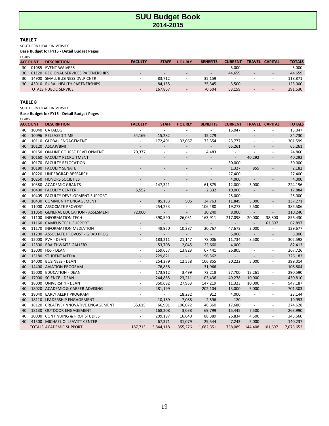#### **TABLE 7**

SOUTHERN UTAH UNIVERSITY

**Base Budget for FY15 - Detail Budget Pages**

| ٩ |  |
|---|--|
|---|--|

|    | <b>ACCOUNT</b> | <b>DESCRIPTION</b>               | <b>FACULTY</b>           | <b>STAFF</b>             | <b>HOURLY</b>            | <b>BENEFITS</b>          | <b>CURRENT</b>           | <b>TRAVEL</b>            | <b>CAPITAL</b>           | <b>TOTALS</b> |
|----|----------------|----------------------------------|--------------------------|--------------------------|--------------------------|--------------------------|--------------------------|--------------------------|--------------------------|---------------|
| 30 | 01085          | EVENT WAIVERS                    | <b>.</b>                 |                          |                          | $\overline{\phantom{a}}$ | 5.000                    | $\sim$                   | $\overline{\phantom{a}}$ | 5,000         |
| 30 | 01120          | REGIONAL SERVICES PARTNERSHIPS   | $\overline{\phantom{0}}$ | $\overline{\phantom{0}}$ |                          | $\overline{\phantom{a}}$ | 44.659                   | $\overline{\phantom{a}}$ | $\overline{\phantom{0}}$ | 44.659        |
| 30 |                | 14900 SMALL BUSINESS DVLP CNTR   |                          | 83.712                   |                          | 35.159                   | $\overline{\phantom{a}}$ | $\overline{\phantom{a}}$ |                          | 118.871       |
| 30 | 43010          | <b>RURAL HEALTH PARTNERSHIPS</b> | -                        | 84.155                   | $\overline{\phantom{0}}$ | 35.345                   | 3,500                    | $\overline{\phantom{a}}$ | $-$                      | 123.000       |
|    |                | TOTALS PUBLIC SERVICE            | $\overline{\phantom{0}}$ | 167.867                  | $\overline{\phantom{0}}$ | 70.504                   | 53.159                   | -                        | $\overline{\phantom{0}}$ | 291.530       |

#### **TABLE 8**

SOUTHERN UTAH UNIVERSITY

| FY 2015 |                |                                      |                          |                          |                             |                          |                          |                          |                          |               |
|---------|----------------|--------------------------------------|--------------------------|--------------------------|-----------------------------|--------------------------|--------------------------|--------------------------|--------------------------|---------------|
|         | <b>ACCOUNT</b> | <b>DESCRIPTION</b>                   | <b>FACULTY</b>           | <b>STAFF</b>             | <b>HOURLY</b>               | <b>BENEFITS</b>          | <b>CURRENT</b>           |                          | <b>TRAVEL CAPITAL</b>    | <b>TOTALS</b> |
| 40      |                | 10040 CATALOG                        |                          |                          | $\sim$                      | $\overline{\phantom{a}}$ | 15,047                   | ÷,                       | $\overline{a}$           | 15,047        |
| 40      | 10096          | <b>RELEASED TIME</b>                 | 54,169                   | 15,282                   |                             | 15,279                   | $\overline{\phantom{m}}$ | $\overline{\phantom{a}}$ | $\overline{a}$           | 84,730        |
| 40      | 10110          | <b>GLOBAL ENGAGEMENT</b>             |                          | 172,401                  | 32,067                      | 73,354                   | 23,777                   | $\overline{\phantom{a}}$ | $\overline{\phantom{a}}$ | 301,599       |
| 40      |                | 10120 ASCAP/BMI                      |                          |                          |                             |                          | 65,261                   | $\overline{a}$           | $\qquad \qquad -$        | 65,261        |
| 40      | 10150          | ON-LINE COURSE DEVELOPMENT           | 20,377                   | $\sim$                   |                             | 4,483                    | $\overline{\phantom{a}}$ | $\overline{a}$           | $\blacksquare$           | 24,860        |
| 40      |                | 10160 FACULTY RECRUITMENT            |                          |                          |                             |                          | $\overline{\phantom{a}}$ | 40,292                   |                          | 40,292        |
| 40      |                | 10170 FACULTY RELOCATION             |                          | $\overline{a}$           | $\overline{a}$              | $\overline{\phantom{a}}$ | 30,000                   | ÷.                       | $\overline{\phantom{a}}$ | 30,000        |
| 40      |                | 10180 FACULTY SENATE                 |                          |                          |                             | $\overline{\phantom{a}}$ | 1,327                    | 855                      | $\overline{\phantom{a}}$ | 2,182         |
| 40      | 10220          | UNDERGRAD RESEARCH                   | $\overline{\phantom{a}}$ | $\overline{\phantom{a}}$ | $\overline{\phantom{a}}$    | $\overline{\phantom{a}}$ | 27,400                   | $\overline{\phantom{a}}$ | $\overline{\phantom{a}}$ | 27,400        |
| 40      | 10250          | <b>HONORS SOCIETIES</b>              |                          |                          |                             | $\overline{\phantom{a}}$ | 4,000                    | $\overline{\phantom{a}}$ |                          | 4,000         |
| 40      | 10380          | <b>ACADEMIC GRANTS</b>               | $\overline{\phantom{a}}$ | 147,321                  | $\overline{\phantom{a}}$    | 61,875                   | 12,000                   | 3,000                    | $\overline{\phantom{a}}$ | 224,196       |
| 40      |                | 10400 FACULTY CENTER                 | 5,552                    | $\overline{\phantom{a}}$ |                             | 2,332                    | 10,000                   | $\overline{\phantom{a}}$ |                          | 17,884        |
| 40      | 10405          | FACULTY DEVELOPMENT SUPPORT          |                          | $\blacksquare$           | $\overline{\phantom{a}}$    |                          | 25,000                   | $\overline{\phantom{a}}$ | $\overline{\phantom{a}}$ | 25,000        |
| 40      | 10430          | <b>COMMUNITY ENGAGEMENT</b>          |                          | 85,153                   | 506                         | 34,763                   | 11,849                   | 5,000                    |                          | 137,271       |
| 40      |                | 11000 ASSOCIATE PROVOST              | $\overline{\phantom{a}}$ | 254,253                  | $\overline{\phantom{a}}$    | 106,480                  | 19,273                   | 5,500                    | $\overline{\phantom{a}}$ | 385,506       |
| 40      |                | 11050 GENERAL EDUCATION - ASSESMENT  | 72,000                   |                          | $\overline{\phantom{a}}$    | 30,240                   | 8,000                    | $\frac{1}{2}$            | $\overline{a}$           | 110,240       |
| 40      | 11100          | <b>INFORMATION TECH</b>              | $\overline{\phantom{a}}$ | 390,590                  | 26,031                      | 163,911                  | 217,098                  | 20,000                   | 38,800                   | 856,430       |
| 40      | 11160          | <b>CAMPUS TECH SUPPORT</b>           |                          | $\overline{\phantom{a}}$ |                             |                          | $\sim$                   | $\overline{\phantom{0}}$ | 62,897                   | 62,897        |
| 40      | 11170          | <b>INFORMATION MEDIATION</b>         | $\overline{\phantom{a}}$ | 48,950                   | 10,287                      | 20,767                   | 47,673                   | 2,000                    | $\overline{\phantom{a}}$ | 129,677       |
| 40      |                | 11200 ASSOCIATE PROVOST - GRAD PROG  |                          | $\overline{a}$           |                             | $\sim$                   | 5,000                    | $\overline{\phantom{a}}$ |                          | 5,000         |
| 40      | 12000          | <b>PVA - DEAN</b>                    | $\blacksquare$           | 183,211                  | 21,147                      | 78,006                   | 11,734                   | 8,500                    | $\overline{\phantom{a}}$ | 302,598       |
| 40      |                | 12800 BRAITHWAITE GALLERY            |                          | 53,708                   | 2,045                       | 22,660                   | 4,000                    | $\overline{\phantom{a}}$ |                          | 82,413        |
| 40      |                | 13000 HSS - DEAN                     | $\overline{\phantom{a}}$ | 159,657                  | 13,823                      | 67,441                   | 26,805                   | $\overline{\phantom{a}}$ | $\overline{\phantom{a}}$ | 267,726       |
| 40      |                | 13180 STUDENT MEDIA                  | $\overline{\phantom{a}}$ | 229,821                  | $\sim$                      | 96,362                   | $\mathbb{Z}^+$           | $\overline{a}$           | $\overline{\phantom{a}}$ | 326,183       |
| 40      | 14000          | <b>BUSINESS - DEAN</b>               | $\overline{\phantom{a}}$ | 254,379                  | 12,558                      | 106,855                  | 20,222                   | 5,000                    | $\overline{\phantom{a}}$ | 399,014       |
| 40      |                | 14400 AVIATION PROGRAM               | $\overline{\phantom{a}}$ | 76,838                   | $\overline{\phantom{a}}$    | 31,966                   | $\blacksquare$           | $\overline{\phantom{a}}$ | $\overline{\phantom{a}}$ | 108,804       |
| 40      | 15000          | <b>EDUCATION - DEAN</b>              | $\overline{\phantom{a}}$ | 173,912                  | 3,499                       | 73,218                   | 27,700                   | 12,261                   | $\overline{\phantom{a}}$ | 290,590       |
| 40      |                | 17000 SCIENCE - DEAN                 |                          | 244,885                  | 23,211                      | 103,436                  | 49,278                   | 10,000                   |                          | 430,810       |
| 40      | 18000          | <b>UNIVERSITY - DEAN</b>             | $\overline{\phantom{a}}$ | 350,692                  | 27,953                      | 147,219                  | 11,323                   | 10,000                   | $\overline{\phantom{a}}$ | 547,187       |
| 40      |                | 18020 ACADEMIC & CAREER ADVISING     | $\overline{\phantom{a}}$ | 481,199                  | $\mathcal{L}_{\mathcal{A}}$ | 202,104                  | 13,000                   | 5,000                    | $\overline{\phantom{a}}$ | 701,303       |
| 40      | 18040          | <b>EARLY ALERT PROGRAM</b>           | $\overline{\phantom{a}}$ | $\overline{\phantom{a}}$ | 18,232                      | 912                      | 4,000                    | $\overline{\phantom{a}}$ | $\overline{\phantom{a}}$ | 23,144        |
| 40      | 18110          | LEADERSHIP ENGAGEMENT                |                          | 10,189                   | 7,088                       | 2,596                    | 120                      | $\overline{\phantom{a}}$ | $\overline{\phantom{a}}$ | 19,993        |
| 40      | 18120          | CREATIVE/INNOVATIVE ENGAGEMENT       | 35,615                   | 66,901                   | 106,072                     | 48,360                   | 17,680                   | $\overline{\phantom{a}}$ | $\overline{\phantom{a}}$ | 274,628       |
| 40      | 18130          | <b>OUTDOOR ENGAGEMENT</b>            |                          | 168,208                  | 3,038                       | 69,799                   | 15,445                   | 7,500                    | $\overline{\phantom{a}}$ | 263,990       |
| 40      | 20000          | <b>CONTINUING &amp; PROF STUDIES</b> | $\overline{\phantom{a}}$ | 209,197                  | 16,640                      | 88,389                   | 26,834                   | 4,500                    | $\overline{\phantom{a}}$ | 345,560       |
| 40      | 41500          | MICHAEL O. LEAVITT CENTER            |                          | 67,371                   | 31,079                      | 29,544                   | 7,243                    | 5,000                    |                          | 140,237       |
|         |                | TOTALS ACADEMIC SUPPORT              | 187,713                  | 3,844,118                | 355,276                     | 1,682,351                | 758,089                  | 144,408                  | 101,697                  | 7,073,652     |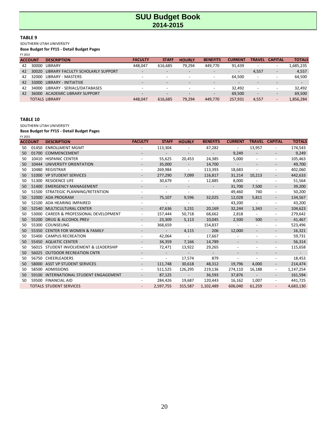#### **TABLE 9**

SOUTHERN UTAH UNIVERSITY

**Base Budget for FY15 - Detail Budget Pages**

|    | <b>ACCOUNT</b> | <b>DESCRIPTION</b>                | <b>FACULTY</b>           | <b>STAFF</b>             | <b>HOURLY</b>            | <b>BENEFITS</b>          | <b>CURRENT</b>           | TRAVEL                   | <b>CAPITAL</b>           | <b>TOTALS</b> |
|----|----------------|-----------------------------------|--------------------------|--------------------------|--------------------------|--------------------------|--------------------------|--------------------------|--------------------------|---------------|
| 42 | 30000          | <b>LIBRARY</b>                    | 448.047                  | 616.685                  | 79,294                   | 449.770                  | 91,439                   | $\overline{\phantom{a}}$ | $\overline{\phantom{0}}$ | 1,685,235     |
| 42 | 30020          | LIBRARY FACULTY SCHOLARLY SUPPORT | $\overline{\phantom{a}}$ |                          |                          | $\overline{\phantom{0}}$ | $\overline{\phantom{a}}$ | 4,557                    | $\overline{\phantom{a}}$ | 4,557         |
| 42 | 32000          | LIBRARY - MASTERS                 | $\overline{\phantom{0}}$ |                          |                          | $\overline{\phantom{a}}$ | 64.500                   | $\overline{\phantom{a}}$ | $\overline{\phantom{a}}$ | 64,500        |
| 42 | 33000          | <b>LIBRARY - INITIATIVE</b>       |                          |                          |                          |                          | -                        |                          |                          |               |
| 42 | 34000          | LIBRARY - SERIALS/DATABASES       | . .                      | $\overline{\phantom{a}}$ | $\overline{\phantom{a}}$ | $\overline{\phantom{a}}$ | 32.492                   | $\overline{\phantom{a}}$ | $\overline{\phantom{a}}$ | 32.492        |
| 42 | 36000          | <b>ACADEMIC LIBRARY SUPPORT</b>   | $\overline{\phantom{0}}$ | $\overline{\phantom{0}}$ | $\overline{\phantom{0}}$ | $\overline{\phantom{a}}$ | 69.500                   | $\overline{\phantom{a}}$ | $\overline{\phantom{a}}$ | 69.500        |
|    |                | <b>TOTALS LIBRARY</b>             | 448.047                  | 616.685                  | 79.294                   | 449.770                  | 257,931                  | 4.557                    | $\overline{\phantom{a}}$ | 1,856,284     |

#### **TABLE 10**

SOUTHERN UTAH UNIVERSITY

| FY 2015 |                |                                      |                          |                             |                          |                           |                          |                          |                              |               |
|---------|----------------|--------------------------------------|--------------------------|-----------------------------|--------------------------|---------------------------|--------------------------|--------------------------|------------------------------|---------------|
|         | <b>ACCOUNT</b> | <b>DESCRIPTION</b>                   | <b>FACULTY</b>           | <b>STAFF</b>                | <b>HOURLY</b>            | <b>BENEFITS</b>           | <b>CURRENT</b>           | <b>TRAVEL</b>            | <b>CAPITAL</b>               | <b>TOTALS</b> |
| 50      | 01450          | <b>ENROLLMENT MGMT</b>               |                          | 113,304                     | $\overline{\phantom{a}}$ | 47,282                    | $\overline{\phantom{a}}$ | 13,957                   | $\qquad \qquad \blacksquare$ | 174,543       |
| 50      | 01700          | COMMENCEMENT                         |                          | $\overline{\phantom{a}}$    | $\overline{\phantom{a}}$ | $\mathbb{Z}^{\mathbb{Z}}$ | 9,249                    |                          |                              | 9,249         |
| 50      | 10410          | <b>HISPANIC CENTER</b>               |                          | 55,625                      | 20,453                   | 24,385                    | 5,000                    |                          | $\overline{\phantom{a}}$     | 105,463       |
| 50      | 10444          | UNIVERSITY ORIENTATION               |                          | 35,000                      | $\overline{\phantom{a}}$ | 14,700                    | $\sim$                   |                          | $\overline{\phantom{a}}$     | 49,700        |
| 50      | 10480          | <b>REGISTRAR</b>                     | $\overline{\phantom{a}}$ | 269,984                     | $\sim$                   | 113,393                   | 18,683                   | $\overline{\phantom{a}}$ | $\overline{\phantom{a}}$     | 402,060       |
| 50      | 51000          | <b>VP STUDENT SERVICES</b>           |                          | 277,290                     | 7,099                    | 116,817                   | 31,214                   | 10,213                   | $\qquad \qquad \blacksquare$ | 442,633       |
| 50      | 51300          | <b>RESIDENCE LIFE</b>                |                          | 30,679                      | $\overline{\phantom{a}}$ | 12,885                    | 8,000                    | $\overline{\phantom{a}}$ | $\overline{\phantom{a}}$     | 51,564        |
| 50      | 51400          | <b>EMERGENCY MANAGEMENT</b>          |                          | $\overline{\phantom{a}}$    | $\overline{\phantom{a}}$ | $\overline{\phantom{a}}$  | 31,700                   | 7,500                    | $\overline{\phantom{a}}$     | 39,200        |
| 50      |                | 51500 STRATEGIC PLANNING/RETENTION   |                          | $\overline{\phantom{a}}$    | $\overline{\phantom{a}}$ | $\overline{\phantom{a}}$  | 49,460                   | 740                      | $\overline{\phantom{a}}$     | 50,200        |
| 50      |                | 52000 ADA PROGRAM                    |                          | 75,107                      | 9,596                    | 32,025                    | 12,028                   | 5,811                    | $\overline{\phantom{a}}$     | 134,567       |
| 50      | 52100          | ADA HEARING IMPAIRED                 |                          | $\overline{\phantom{a}}$    | $\overline{\phantom{a}}$ | $\sim$                    | 43,200                   | $\sim$                   | $\overline{\phantom{a}}$     | 43,200        |
| 50      | 52540          | MULTICULTURAL CENTER                 |                          | 47,636                      | 3,231                    | 20,169                    | 32,244                   | 1,343                    | $\overline{\phantom{a}}$     | 104,623       |
| 50      | 53000          | CAREER & PROFESSIONAL DEVELOPMENT    |                          | 157,444                     | 50,718                   | 68,662                    | 2,818                    | $\sim$                   | $\overline{\phantom{a}}$     | 279,642       |
| 50      | 55200          | DRUG & ALCOHOL PREV                  |                          | 23,309                      | 5,113                    | 10,045                    | 2,500                    | 500                      | $\overline{\phantom{a}}$     | 41,467        |
| 50      | 55300          | COUNSELING                           |                          | 368,659                     | $\sim$ $-$               | 154,837                   | $\overline{\phantom{a}}$ |                          | $\overline{\phantom{a}}$     | 523,496       |
| 50      | 55350          | <b>CENTER FOR WOMEN &amp; FAMILY</b> |                          | $\mathcal{L}_{\mathcal{A}}$ | 4,115                    | 206                       | 12,000                   |                          |                              | 16,321        |
| 50      | 55400          | <b>CAMPUS RECREATION</b>             | $\overline{\phantom{a}}$ | 42,064                      | $\sim$ $-$               | 17,667                    |                          | $\overline{a}$           | $\overline{\phantom{a}}$     | 59,731        |
| 50      |                | 55450 AQUATIC CENTER                 | $\overline{\phantom{a}}$ | 34,359                      | 7,166                    | 14,789                    | $\overline{\phantom{a}}$ | $\overline{\phantom{a}}$ | $\overline{\phantom{a}}$     | 56,314        |
| 50      | 56015          | STUDENT INVOLVEMENT & LEADERSHIP     |                          | 72,471                      | 13,922                   | 29,265                    | $\overline{\phantom{a}}$ |                          | $\overline{\phantom{a}}$     | 115,658       |
| 50      | 56025          | <b>OUTDOOR RECREATION CNTR</b>       |                          |                             | $\sim$                   | $\overline{\phantom{a}}$  |                          |                          |                              |               |
| 50      | 56750          | CHEERLEADERS                         |                          | $ \,$                       | 17,574                   | 879                       | $\overline{\phantom{a}}$ | $\overline{a}$           | $\overline{\phantom{a}}$     | 18,453        |
| 50      | 58000          | <b>ASST VP STUDENT SERVICES</b>      |                          | 111,748                     | 30,618                   | 48,312                    | 19,796                   | 4,000                    |                              | 214,474       |
| 50      | 58500          | <b>ADMISSIONS</b>                    |                          | 511,525                     | 126,295                  | 219,136                   | 274,110                  | 16,188                   | $\overline{\phantom{a}}$     | 1,147,254     |
| 50      | 59100          | INTERNATIONAL STUDENT ENGAGEMENT     | $\overline{\phantom{a}}$ | 87,125                      | $\sim$ $-$               | 36,593                    | 37,876                   | $\sim$                   | $\overline{\phantom{a}}$     | 161,594       |
| 50      |                | 59500 FINANCIAL AID                  |                          | 284,426                     | 19,687                   | 120,443                   | 16,162                   | 1,007                    | $\overline{\phantom{a}}$     | 441,725       |
|         |                | <b>TOTALS STUDENT SERVICES</b>       |                          | 2,597,755                   | 315,587                  | 1,102,489                 | 606,040                  | 61,259                   | $\overline{\phantom{a}}$     | 4,683,130     |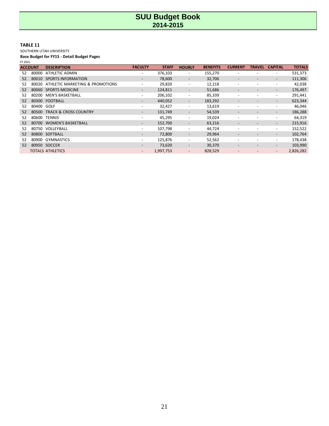#### **TABLE 11**

SOUTHERN UTAH UNIVERSITY

|    | <b>ACCOUNT</b> | <b>DESCRIPTION</b>               | <b>FACULTY</b>           | <b>STAFF</b> | <b>HOURLY</b>            | <b>BENEFITS</b> | <b>CURRENT</b>           | TRAVEL                   | <b>CAPITAL</b>           | <b>TOTALS</b> |
|----|----------------|----------------------------------|--------------------------|--------------|--------------------------|-----------------|--------------------------|--------------------------|--------------------------|---------------|
| 52 | 80000          | <b>ATHLETIC ADMIN</b>            | $\overline{\phantom{0}}$ | 376,103      | -                        | 155,270         | $\overline{\phantom{0}}$ |                          | $\overline{\phantom{a}}$ | 531,373       |
| 52 | 80010          | <b>SPORTS INFORMATION</b>        |                          | 78,600       | -                        | 32,706          |                          |                          | $\overline{\phantom{a}}$ | 111,306       |
| 52 | 80020          | ATHLETIC MARKETING & PROMOTIONS  |                          | 29,820       | -                        | 12,218          | $\overline{\phantom{a}}$ | $\overline{\phantom{a}}$ | $\overline{\phantom{a}}$ | 42,038        |
| 52 | 80060          | <b>SPORTS MEDICINE</b>           | $\overline{\phantom{0}}$ | 124,811      |                          | 51,686          |                          |                          | $\overline{\phantom{a}}$ | 176,497       |
| 52 | 80200          | <b>MEN'S BASKETBALL</b>          |                          | 206,102      | -                        | 85,339          | $\overline{\phantom{0}}$ |                          | $\overline{\phantom{a}}$ | 291,441       |
| 52 |                | 80300 FOOTBALL                   |                          | 440,052      | $\overline{\phantom{0}}$ | 183,292         |                          |                          | $\overline{\phantom{a}}$ | 623,344       |
| 52 | 80400 GOLF     |                                  |                          | 32,427       |                          | 13,619          | $\overline{\phantom{a}}$ |                          | $\overline{\phantom{a}}$ | 46,046        |
| 52 | 80500          | <b>TRACK &amp; CROSS COUNTRY</b> | $\overline{\phantom{a}}$ | 131,749      | -                        | 54,539          |                          |                          | $\overline{\phantom{a}}$ | 186,288       |
| 52 |                | 80600 TENNIS                     |                          | 45,295       | $\overline{\phantom{0}}$ | 19,024          | $\overline{\phantom{a}}$ |                          | $\overline{\phantom{a}}$ | 64,319        |
| 52 | 80700          | <b>WOMEN'S BASKETBALL</b>        | $-$                      | 152,700      | $\overline{\phantom{0}}$ | 63,216          |                          | $\overline{\phantom{a}}$ | $\overline{\phantom{a}}$ | 215,916       |
| 52 | 80750          | VOLLEYBALL                       |                          | 107,798      | -                        | 44,724          | $\overline{\phantom{a}}$ |                          | $\overline{\phantom{a}}$ | 152,522       |
| 52 |                | 80800 SOFTBALL                   | -                        | 72,800       | -                        | 29,964          | $\overline{\phantom{a}}$ | $\overline{\phantom{a}}$ | $\overline{\phantom{a}}$ | 102,764       |
| 52 | 80900          | <b>GYMNASTICS</b>                |                          | 125,876      | -                        | 52,562          | $\overline{\phantom{0}}$ |                          | $\overline{\phantom{a}}$ | 178,438       |
| 52 |                | 80950 SOCCER                     | $\overline{\phantom{a}}$ | 73,620       | $\overline{\phantom{a}}$ | 30,370          | $\overline{\phantom{a}}$ | $\overline{\phantom{a}}$ | $\overline{\phantom{a}}$ | 103,990       |
|    |                | <b>TOTALS ATHLETICS</b>          | $-$                      | 1,997,753    | $\overline{\phantom{0}}$ | 828,529         |                          |                          | $\overline{\phantom{a}}$ | 2,826,282     |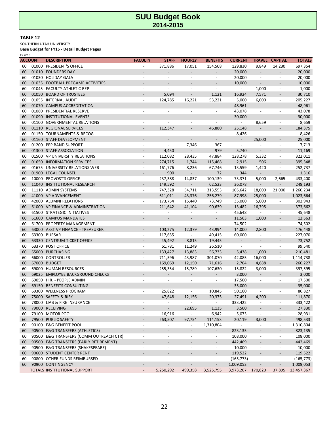#### **TABLE 12**

SOUTHERN UTAH UNIVERSITY

**Base Budget for FY15 - Detail Budget Pages**

FY 2015

|    | <b>ACCOUNT</b> | <b>DESCRIPTION</b>                      | <b>FACULTY</b>           | <b>STAFF</b>                 | <b>HOURLY</b>                | <b>BENEFITS</b>              | <b>CURRENT</b>           |                          | <b>TRAVEL CAPITAL</b>        | <b>TOTALS</b> |
|----|----------------|-----------------------------------------|--------------------------|------------------------------|------------------------------|------------------------------|--------------------------|--------------------------|------------------------------|---------------|
| 60 | 01000          | PRESIDENT'S OFFICE                      |                          | 371,886                      | 17,051                       | 154,508                      | 129,830                  | 9,849                    | 14,230                       | 697,354       |
| 60 |                | 01010 FOUNDERS DAY                      |                          |                              |                              | $\overline{\phantom{0}}$     | 20,000                   | $\overline{\phantom{a}}$ | $\overline{\phantom{0}}$     | 20,000        |
| 60 |                | 01030 HOLIDAY GALA                      | $\overline{\phantom{a}}$ | $\overline{\phantom{a}}$     | $\overline{\phantom{a}}$     | $\overline{\phantom{a}}$     | 20,000                   | $\overline{\phantom{a}}$ | $\overline{\phantom{a}}$     | 20,000        |
| 60 |                | 01035 FOOTBALL PREGAME ACTIVITIES       |                          |                              |                              |                              | 10,000                   | $\overline{\phantom{a}}$ |                              | 10,000        |
| 60 |                | 01045 FACULTY ATHLETIC REP              | $\overline{\phantom{a}}$ | $\overline{\phantom{a}}$     | $\overline{a}$               | $\overline{\phantom{a}}$     | $\blacksquare$           | 1,000                    | $\overline{\phantom{a}}$     | 1,000         |
| 60 |                | 01050 BOARD OF TRUSTEES                 |                          | 5,094                        |                              | 1,121                        | 16,924                   | 7,571                    |                              | 30,710        |
| 60 |                | 01055 INTERNAL AUDIT                    | $\overline{\phantom{a}}$ | 124,785                      | 16,221                       | 53,221                       | 5,000                    | 6,000                    | $\overline{\phantom{a}}$     | 205,227       |
| 60 |                | 01070 CAMPUS ACCREDITATION              |                          |                              |                              |                              | 48,961                   | $\overline{\phantom{a}}$ |                              | 48,961        |
| 60 |                | 01080 PRESIDENTIAL RESERVE              |                          | $\overline{\phantom{a}}$     | $\overline{\phantom{a}}$     | $\overline{\phantom{a}}$     | 43,078                   | $\overline{\phantom{a}}$ | $\overline{\phantom{a}}$     | 43,078        |
| 60 |                | 01090 INSTITUTIONAL EVENTS              |                          |                              |                              |                              | 30,000                   | $\overline{a}$           |                              | 30,000        |
| 60 |                | 01100 GOVERNMENTAL RELATIONS            | $\overline{\phantom{a}}$ | $\overline{\phantom{a}}$     | $\overline{\phantom{a}}$     | $\overline{\phantom{a}}$     | $\blacksquare$           | 8,659                    | $\overline{\phantom{a}}$     | 8,659         |
| 60 |                | 01110 REGIONAL SERVICES                 |                          | 112,347                      |                              | 46,880                       | 25,148                   |                          |                              | 184,375       |
| 60 |                | 01150 TOURNAMENTS & RECOG               | $\overline{\phantom{a}}$ |                              | $\overline{\phantom{m}}$     | $\overline{\phantom{0}}$     | 8,426                    |                          | $\overline{\phantom{a}}$     | 8,426         |
| 60 |                | 01160 STAFF DEVELOPMENT                 |                          | $\overline{a}$               | $\overline{\phantom{a}}$     |                              | $\overline{\phantom{a}}$ | 25,000                   |                              | 25,000        |
| 60 |                | 01200 PEP BAND SUPPORT                  | $\overline{\phantom{a}}$ | $\overline{\phantom{a}}$     | 7,346                        | 367                          | $\overline{\phantom{a}}$ |                          | $\overline{\phantom{a}}$     | 7,713         |
| 60 |                | 01300 STAFF ASSOCIATION                 |                          | 4,450                        |                              | 979                          | 5,740                    |                          |                              | 11,169        |
| 60 |                | 01500 VP UNIVERSITY RELATIONS           | $\overline{\phantom{a}}$ | 112,082                      | 28,435                       | 47,884                       | 128,278                  | 5,332                    |                              | 322,011       |
|    |                |                                         |                          |                              |                              |                              |                          | 506                      | $\overline{\phantom{a}}$     |               |
| 60 |                | 01650 INFORMATION SERVICES              |                          | 274,715                      | 1,744                        | 115,468                      | 2,915                    |                          | $\overline{\phantom{a}}$     | 395,348       |
| 60 |                | 01675 UNIVERSITY RELATIONS WEB          | $\overline{\phantom{a}}$ | 161,776                      | 8,236                        | 67,746                       | 13,559                   | 1,420                    | $\overline{\phantom{a}}$     | 252,737       |
| 60 |                | 01900 LEGAL COUNSEL                     |                          | 900                          |                              | 72                           | 344                      | $\overline{\phantom{a}}$ | $\overline{a}$               | 1,316         |
| 60 |                | 10000 PROVOST'S OFFICE                  | $\overline{\phantom{a}}$ | 237,388                      | 14,837                       | 100,139                      | 73,371                   | 5,000                    | 2,665                        | 433,400       |
| 60 |                | 11040 INSTITUTIONAL RESEARCH            |                          | 149,592                      | $\overline{\phantom{a}}$     | 62,523                       | 36,078                   | $\overline{\phantom{a}}$ | $\overline{\phantom{a}}$     | 248,193       |
| 60 |                | 11110 ADMIN SYSTEMS                     | $\overline{\phantom{a}}$ | 747,328                      | 54,711                       | 313,553                      | 105,642                  | 18,000                   | 21,000                       | 1,260,234     |
| 60 |                | 41000 VP ADVANCEMENT                    |                          | 611,011                      | 43,376                       | 256,279                      | 87,998                   | 25,000                   | $\overline{\phantom{a}}$     | 1,023,664     |
| 60 |                | 42000 ALUMNI RELATIONS                  | $\overline{\phantom{a}}$ | 173,754                      | 15,440                       | 73,749                       | 35,000                   | 5,000                    | $\overline{\phantom{a}}$     | 302,943       |
| 60 |                | 61000 VP FINANCE & ADMINSTRATION        |                          | 211,642                      | 41,104                       | 90,639                       | 13,482                   | 16,795                   | $\overline{\phantom{a}}$     | 373,662       |
| 60 |                | 61500 STRATEGIC INITIATIVES             |                          |                              |                              |                              | 45,648                   | $\overline{\phantom{a}}$ | $\overline{\phantom{a}}$     | 45,648        |
| 60 |                | 61600 CAMPUS MANDATES                   |                          | $\overline{\phantom{a}}$     |                              | $\overline{\phantom{a}}$     | 11,563                   | 1,000                    | $\overline{\phantom{a}}$     | 12,563        |
| 60 |                | 61700 PROPERTY MANAGEMENT               | $\overline{a}$           | $\overline{a}$               |                              | $\overline{\phantom{a}}$     | 74,502                   | $\overline{\phantom{a}}$ | $\overline{\phantom{a}}$     | 74,502        |
| 60 |                | 63000 ASST VP FINANCE - TREASURER       |                          | 103,275                      | 12,379                       | 43,994                       | 14,000                   | 2,800                    |                              | 176,448       |
| 60 |                | 63300 BURSAR                            | $\overline{\phantom{a}}$ | 117,655                      | $\overline{\phantom{a}}$     | 49,415                       | 60,000                   | $\overline{\phantom{a}}$ | $\overline{\phantom{a}}$     | 227,070       |
| 60 |                | 63330 CENTRUM TICKET OFFICE             |                          | 45,492                       | 8,815                        | 19,445                       | $\overline{\phantom{a}}$ | $\overline{a}$           |                              | 73,752        |
| 60 |                | 63370 POST OFFICE                       | $\overline{\phantom{a}}$ | 61,781                       | 11,249                       | 26,510                       | $\overline{\phantom{a}}$ | $\overline{a}$           | $\overline{\phantom{a}}$     | 99,540        |
| 60 |                | 65000 PURCHASING                        |                          | 133,427                      | 13,883                       | 56,733                       | 5,438                    | 1,000                    | $\overline{\phantom{a}}$     | 210,481       |
| 60 |                | 66000 CONTROLLER                        | $\overline{\phantom{a}}$ | 711,596                      | 43,987                       | 301,070                      | 42,085                   | 16,000                   | $\overline{\phantom{a}}$     | 1,114,738     |
| 60 |                | 67000 BUDGET                            |                          | 169,069                      | 12,150                       | 71,616                       | 2,704                    | 4,688                    | $\overline{\phantom{a}}$     | 260,227       |
| 60 |                | 69000 HUMAN RESOURCES                   | $\overline{\phantom{a}}$ | 255,354                      | 15,789                       | 107,630                      | 15,822                   | 3,000                    | $\overline{\phantom{a}}$     | 397,595       |
| 60 |                | 69025 EMPLOYEE BACKGROUND CHECKS        |                          |                              |                              |                              | 3,000                    | $\overline{a}$           |                              | 3,000         |
| 60 |                | 69050 H.R. - PEOPLE ADMIN               |                          | $\overline{\phantom{a}}$     |                              | $\overline{\phantom{a}}$     | 17,500                   | $\overline{\phantom{a}}$ | $\overline{\phantom{a}}$     | 17,500        |
| 60 |                | 69150 BENEFITS CONSULTING               |                          |                              |                              |                              | 35,000                   |                          |                              | 35,000        |
| 60 |                | 69300 WELLNESS PROGRAM                  |                          | 25,822                       | $\overline{\phantom{a}}$     | 10,845                       | 50,160                   | $\overline{\phantom{a}}$ | $\overline{\phantom{a}}$     | 86,827        |
| 60 |                | 75000 SAFETY & RISK                     |                          | 47,648                       | 12,156                       | 20,375                       | 27,491                   | 4,200                    |                              | 111,870       |
| 60 |                | 78000 LIAB & FIRE INSURANCE             |                          | $\overline{\phantom{a}}$     | $\overline{\phantom{a}}$     | $\overline{\phantom{a}}$     | 333,422                  | $\overline{a}$           | $\overline{\phantom{a}}$     | 333,422       |
| 60 |                | 79000 RECEIVING                         |                          |                              | 22,695                       | 1,135                        | 3,500                    |                          |                              | 27,330        |
| 60 |                | 79100 MOTOR POOL                        | $\overline{\phantom{a}}$ | 16,916                       | $\overline{\phantom{a}}$     | 6,942                        | 5,073                    | $\overline{\phantom{a}}$ | $\overline{\phantom{a}}$     | 28,931        |
| 60 |                | 79500 PUBLIC SAFETY                     | $\overline{\phantom{a}}$ | 263,507                      | 97,754                       | 114,153                      | 20,119                   | 3,000                    | $\overline{\phantom{a}}$     | 498,533       |
| 60 |                | 90100 E&G BENEFIT POOL                  | $\overline{\phantom{a}}$ | $\blacksquare$               | $\overline{\phantom{a}}$     | 1,310,804                    | $\sim$                   |                          | $\overline{\phantom{a}}$     | 1,310,804     |
| 60 |                | 90500 E&G TRANSFERS (ATHLETICS)         |                          | $\qquad \qquad \blacksquare$ | $\qquad \qquad \blacksquare$ | $\overline{\phantom{0}}$     | 823,135                  | $\overline{\phantom{0}}$ | $\qquad \qquad \blacksquare$ | 823,135       |
| 60 |                | 90500 E&G TRANSFERS (COMM OUTREACH CTR) | $\overline{\phantom{a}}$ | $\overline{\phantom{a}}$     | $\overline{\phantom{a}}$     | $\overline{\phantom{a}}$     | 108,000                  | $\overline{a}$           | $\overline{\phantom{a}}$     | 108,000       |
| 60 |                | 90500 E&G TRANSFERS (EARLY RETIREMENT)  | $\overline{\phantom{a}}$ | $\overline{\phantom{a}}$     | $\qquad \qquad \blacksquare$ | $\overline{\phantom{a}}$     | 442,469                  | $\overline{\phantom{0}}$ | $\overline{\phantom{a}}$     | 442,469       |
| 60 |                | 90500 E&G TRANSFERS (SHAKESPEARE)       | $\overline{\phantom{a}}$ | $\blacksquare$               | $\overline{\phantom{a}}$     | $\overline{\phantom{a}}$     | 10,000                   | $\overline{a}$           | $\overline{\phantom{a}}$     | 10,000        |
| 60 |                | 90600 STUDENT CENTER RENT               |                          | $\qquad \qquad \blacksquare$ | $\overline{\phantom{0}}$     | $\qquad \qquad \blacksquare$ | 119,522                  |                          | $\overline{\phantom{a}}$     | 119,522       |
| 60 |                | 90800 OTHER FUNDS REIMBURSED            | $\overline{\phantom{a}}$ | $\overline{\phantom{a}}$     | $\overline{a}$               | $\overline{\phantom{a}}$     | (165, 773)               | $\overline{\phantom{a}}$ | $\overline{\phantom{a}}$     | (165, 773)    |
| 60 |                | 90900 CONTINGENCY                       |                          | $\overline{\phantom{a}}$     |                              | $\overline{\phantom{0}}$     | 1,009,053                |                          | $\blacksquare$               | 1,009,053     |
|    |                | TOTALS INSTITUTIONAL SUPPORT            | $\overline{\phantom{a}}$ | 5,250,292                    | 499,358                      | 3,525,795                    | 3,973,207 170,820        |                          | 37,895                       | 13,457,367    |
|    |                |                                         |                          |                              |                              |                              |                          |                          |                              |               |